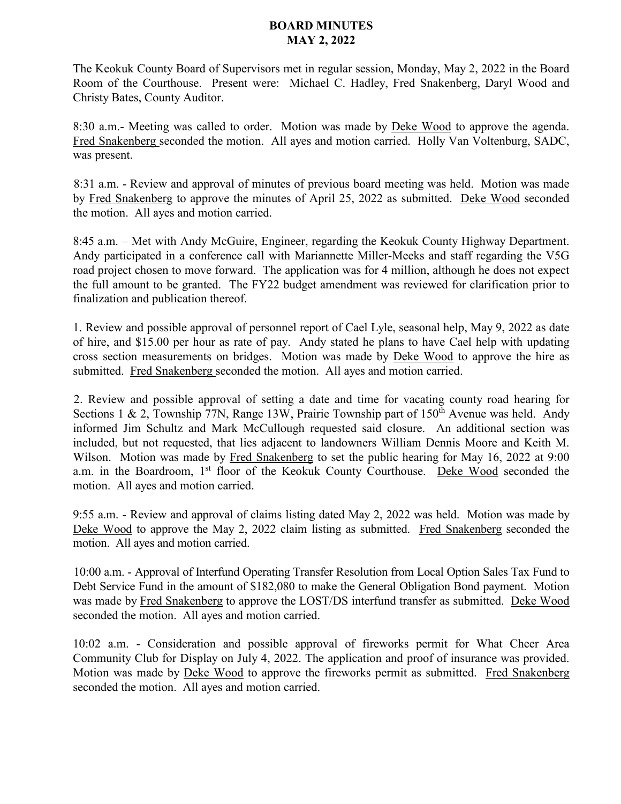## **BOARD MINUTES MAY 2, 2022**

The Keokuk County Board of Supervisors met in regular session, Monday, May 2, 2022 in the Board Room of the Courthouse. Present were: Michael C. Hadley, Fred Snakenberg, Daryl Wood and Christy Bates, County Auditor.

8:30 a.m.- Meeting was called to order. Motion was made by Deke Wood to approve the agenda. Fred Snakenberg seconded the motion. All ayes and motion carried. Holly Van Voltenburg, SADC, was present.

8:31 a.m. - Review and approval of minutes of previous board meeting was held. Motion was made by Fred Snakenberg to approve the minutes of April 25, 2022 as submitted. Deke Wood seconded the motion. All ayes and motion carried.

8:45 a.m. – Met with Andy McGuire, Engineer, regarding the Keokuk County Highway Department. Andy participated in a conference call with Mariannette Miller-Meeks and staff regarding the V5G road project chosen to move forward. The application was for 4 million, although he does not expect the full amount to be granted. The FY22 budget amendment was reviewed for clarification prior to finalization and publication thereof.

1. Review and possible approval of personnel report of Cael Lyle, seasonal help, May 9, 2022 as date of hire, and \$15.00 per hour as rate of pay. Andy stated he plans to have Cael help with updating cross section measurements on bridges. Motion was made by Deke Wood to approve the hire as submitted. Fred Snakenberg seconded the motion. All ayes and motion carried.

2. Review and possible approval of setting a date and time for vacating county road hearing for Sections 1 & 2, Township 77N, Range 13W, Prairie Township part of  $150<sup>th</sup>$  Avenue was held. Andy informed Jim Schultz and Mark McCullough requested said closure. An additional section was included, but not requested, that lies adjacent to landowners William Dennis Moore and Keith M. Wilson. Motion was made by Fred Snakenberg to set the public hearing for May 16, 2022 at 9:00 a.m. in the Boardroom, 1<sup>st</sup> floor of the Keokuk County Courthouse. Deke Wood seconded the motion. All ayes and motion carried.

9:55 a.m. - Review and approval of claims listing dated May 2, 2022 was held. Motion was made by Deke Wood to approve the May 2, 2022 claim listing as submitted. Fred Snakenberg seconded the motion. All ayes and motion carried.

10:00 a.m. - Approval of Interfund Operating Transfer Resolution from Local Option Sales Tax Fund to Debt Service Fund in the amount of \$182,080 to make the General Obligation Bond payment. Motion was made by Fred Snakenberg to approve the LOST/DS interfund transfer as submitted. Deke Wood seconded the motion. All ayes and motion carried.

10:02 a.m. - Consideration and possible approval of fireworks permit for What Cheer Area Community Club for Display on July 4, 2022. The application and proof of insurance was provided. Motion was made by Deke Wood to approve the fireworks permit as submitted. Fred Snakenberg seconded the motion. All ayes and motion carried.